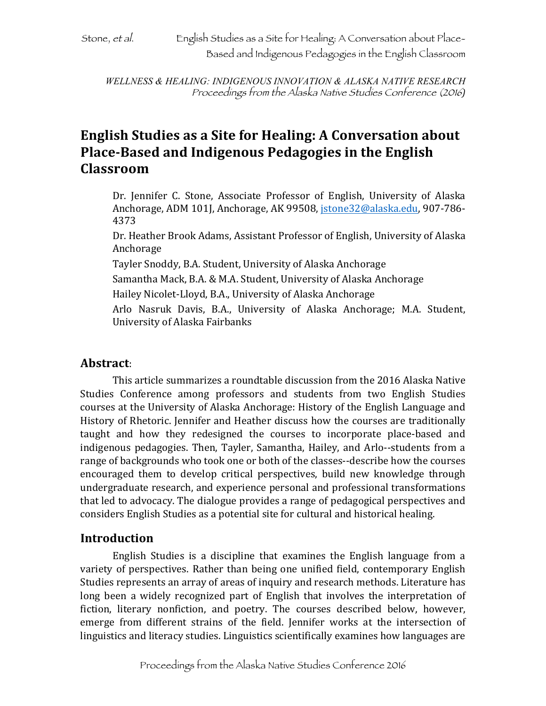*WELLNESS & HEALING: INDIGENOUS INNOVATION & ALASKA NATIVE RESEARCH* Proceedings from the Alaska Native Studies Conference (2016*)*

# **English Studies as a Site for Healing: A Conversation about Place-Based and Indigenous Pedagogies in the English Classroom**

Dr. Jennifer C. Stone, Associate Professor of English, University of Alaska Anchorage, ADM 101J, Anchorage, AK 99508, *jstone32@alaska.edu*, 907-786-4373

Dr. Heather Brook Adams, Assistant Professor of English, University of Alaska Anchorage

Tayler Snoddy, B.A. Student, University of Alaska Anchorage

Samantha Mack, B.A. & M.A. Student, University of Alaska Anchorage

Hailey Nicolet-Lloyd, B.A., University of Alaska Anchorage

Arlo Nasruk Davis, B.A., University of Alaska Anchorage; M.A. Student, University of Alaska Fairbanks

### **Abstract**:

This article summarizes a roundtable discussion from the 2016 Alaska Native Studies Conference among professors and students from two English Studies courses at the University of Alaska Anchorage: History of the English Language and History of Rhetoric. Jennifer and Heather discuss how the courses are traditionally taught and how they redesigned the courses to incorporate place-based and indigenous pedagogies. Then, Tayler, Samantha, Hailey, and Arlo--students from a range of backgrounds who took one or both of the classes--describe how the courses encouraged them to develop critical perspectives, build new knowledge through undergraduate research, and experience personal and professional transformations that led to advocacy. The dialogue provides a range of pedagogical perspectives and considers English Studies as a potential site for cultural and historical healing.

### **Introduction**

English Studies is a discipline that examines the English language from a variety of perspectives. Rather than being one unified field, contemporary English Studies represents an array of areas of inquiry and research methods. Literature has long been a widely recognized part of English that involves the interpretation of fiction, literary nonfiction, and poetry. The courses described below, however, emerge from different strains of the field. Jennifer works at the intersection of linguistics and literacy studies. Linguistics scientifically examines how languages are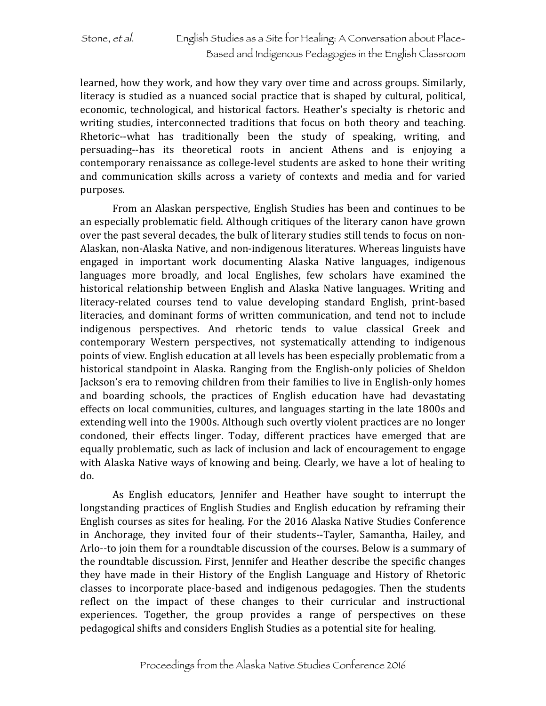learned, how they work, and how they vary over time and across groups. Similarly, literacy is studied as a nuanced social practice that is shaped by cultural, political, economic, technological, and historical factors. Heather's specialty is rhetoric and writing studies, interconnected traditions that focus on both theory and teaching. Rhetoric--what has traditionally been the study of speaking, writing, and persuading--has its theoretical roots in ancient Athens and is enjoying a contemporary renaissance as college-level students are asked to hone their writing and communication skills across a variety of contexts and media and for varied purposes. 

From an Alaskan perspective, English Studies has been and continues to be an especially problematic field. Although critiques of the literary canon have grown over the past several decades, the bulk of literary studies still tends to focus on non-Alaskan, non-Alaska Native, and non-indigenous literatures. Whereas linguists have engaged in important work documenting Alaska Native languages, indigenous languages more broadly, and local Englishes, few scholars have examined the historical relationship between English and Alaska Native languages. Writing and literacy-related courses tend to value developing standard English, print-based literacies, and dominant forms of written communication, and tend not to include indigenous perspectives. And rhetoric tends to value classical Greek and contemporary Western perspectives, not systematically attending to indigenous points of view. English education at all levels has been especially problematic from a historical standpoint in Alaska. Ranging from the English-only policies of Sheldon Jackson's era to removing children from their families to live in English-only homes and boarding schools, the practices of English education have had devastating effects on local communities, cultures, and languages starting in the late 1800s and extending well into the 1900s. Although such overtly violent practices are no longer condoned, their effects linger. Today, different practices have emerged that are equally problematic, such as lack of inclusion and lack of encouragement to engage with Alaska Native ways of knowing and being. Clearly, we have a lot of healing to do.

As English educators, Jennifer and Heather have sought to interrupt the longstanding practices of English Studies and English education by reframing their English courses as sites for healing. For the 2016 Alaska Native Studies Conference in Anchorage, they invited four of their students--Tayler, Samantha, Hailey, and Arlo--to join them for a roundtable discussion of the courses. Below is a summary of the roundtable discussion. First, Jennifer and Heather describe the specific changes they have made in their History of the English Language and History of Rhetoric classes to incorporate place-based and indigenous pedagogies. Then the students reflect on the impact of these changes to their curricular and instructional experiences. Together, the group provides a range of perspectives on these pedagogical shifts and considers English Studies as a potential site for healing.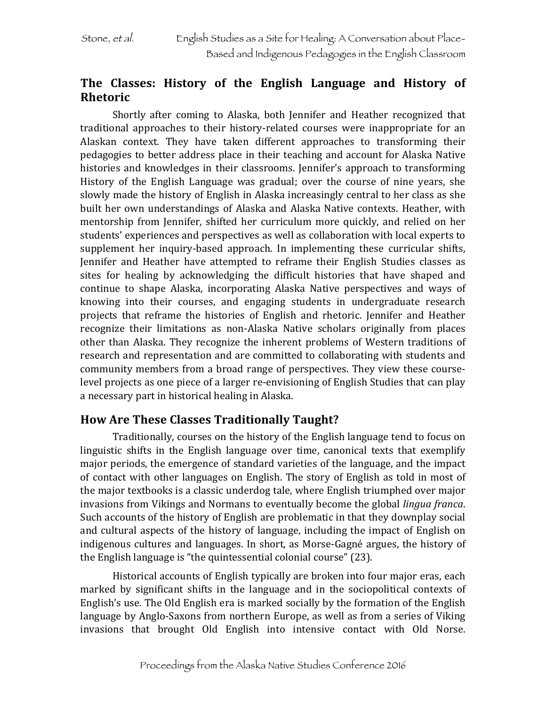### The Classes: History of the English Language and History of **Rhetoric**

Shortly after coming to Alaska, both Jennifer and Heather recognized that traditional approaches to their history-related courses were inappropriate for an Alaskan context. They have taken different approaches to transforming their pedagogies to better address place in their teaching and account for Alaska Native histories and knowledges in their classrooms. Jennifer's approach to transforming History of the English Language was gradual; over the course of nine years, she slowly made the history of English in Alaska increasingly central to her class as she built her own understandings of Alaska and Alaska Native contexts. Heather, with mentorship from Jennifer, shifted her curriculum more quickly, and relied on her students' experiences and perspectives as well as collaboration with local experts to supplement her inquiry-based approach. In implementing these curricular shifts, Jennifer and Heather have attempted to reframe their English Studies classes as sites for healing by acknowledging the difficult histories that have shaped and continue to shape Alaska, incorporating Alaska Native perspectives and ways of knowing into their courses, and engaging students in undergraduate research projects that reframe the histories of English and rhetoric. Jennifer and Heather recognize their limitations as non-Alaska Native scholars originally from places other than Alaska. They recognize the inherent problems of Western traditions of research and representation and are committed to collaborating with students and community members from a broad range of perspectives. They view these courselevel projects as one piece of a larger re-envisioning of English Studies that can play a necessary part in historical healing in Alaska.

### **How Are These Classes Traditionally Taught?**

Traditionally, courses on the history of the English language tend to focus on linguistic shifts in the English language over time, canonical texts that exemplify major periods, the emergence of standard varieties of the language, and the impact of contact with other languages on English. The story of English as told in most of the major textbooks is a classic underdog tale, where English triumphed over major invasions from Vikings and Normans to eventually become the global *lingua franca*. Such accounts of the history of English are problematic in that they downplay social and cultural aspects of the history of language, including the impact of English on indigenous cultures and languages. In short, as Morse-Gagné argues, the history of the English language is "the quintessential colonial course"  $(23)$ .

Historical accounts of English typically are broken into four major eras, each marked by significant shifts in the language and in the sociopolitical contexts of English's use. The Old English era is marked socially by the formation of the English language by Anglo-Saxons from northern Europe, as well as from a series of Viking invasions that brought Old English into intensive contact with Old Norse.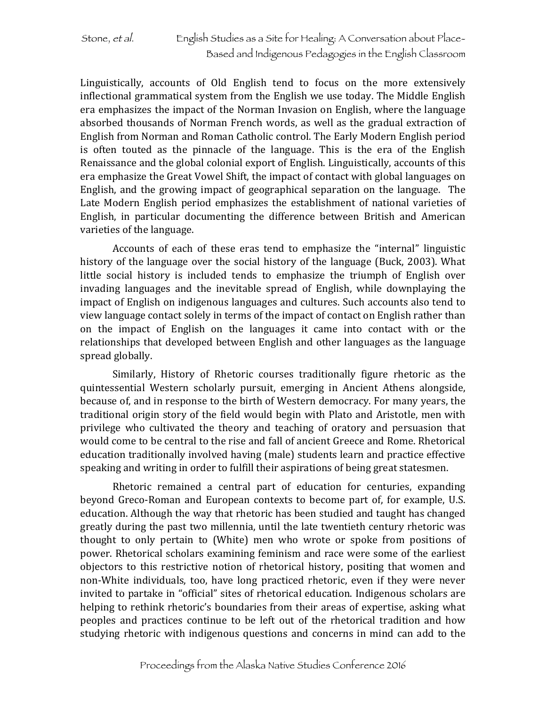Linguistically, accounts of Old English tend to focus on the more extensively inflectional grammatical system from the English we use today. The Middle English era emphasizes the impact of the Norman Invasion on English, where the language absorbed thousands of Norman French words, as well as the gradual extraction of English from Norman and Roman Catholic control. The Early Modern English period is often touted as the pinnacle of the language. This is the era of the English Renaissance and the global colonial export of English. Linguistically, accounts of this era emphasize the Great Vowel Shift, the impact of contact with global languages on English, and the growing impact of geographical separation on the language. The Late Modern English period emphasizes the establishment of national varieties of English, in particular documenting the difference between British and American varieties of the language.

Accounts of each of these eras tend to emphasize the "internal" linguistic history of the language over the social history of the language (Buck, 2003). What little social history is included tends to emphasize the triumph of English over invading languages and the inevitable spread of English, while downplaying the impact of English on indigenous languages and cultures. Such accounts also tend to view language contact solely in terms of the impact of contact on English rather than on the impact of English on the languages it came into contact with or the relationships that developed between English and other languages as the language spread globally.

Similarly, History of Rhetoric courses traditionally figure rhetoric as the quintessential Western scholarly pursuit, emerging in Ancient Athens alongside, because of, and in response to the birth of Western democracy. For many years, the traditional origin story of the field would begin with Plato and Aristotle, men with privilege who cultivated the theory and teaching of oratory and persuasion that would come to be central to the rise and fall of ancient Greece and Rome. Rhetorical education traditionally involved having (male) students learn and practice effective speaking and writing in order to fulfill their aspirations of being great statesmen.

Rhetoric remained a central part of education for centuries, expanding beyond Greco-Roman and European contexts to become part of, for example, U.S. education. Although the way that rhetoric has been studied and taught has changed greatly during the past two millennia, until the late twentieth century rhetoric was thought to only pertain to (White) men who wrote or spoke from positions of power. Rhetorical scholars examining feminism and race were some of the earliest objectors to this restrictive notion of rhetorical history, positing that women and non-White individuals, too, have long practiced rhetoric, even if they were never invited to partake in "official" sites of rhetorical education. Indigenous scholars are helping to rethink rhetoric's boundaries from their areas of expertise, asking what peoples and practices continue to be left out of the rhetorical tradition and how studying rhetoric with indigenous questions and concerns in mind can add to the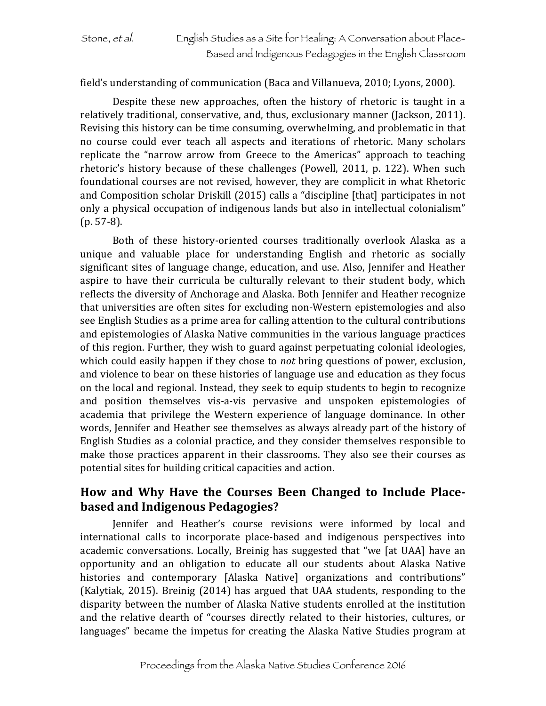#### field's understanding of communication (Baca and Villanueva, 2010; Lyons, 2000).

Despite these new approaches, often the history of rhetoric is taught in a relatively traditional, conservative, and, thus, exclusionary manner (Jackson, 2011). Revising this history can be time consuming, overwhelming, and problematic in that no course could ever teach all aspects and iterations of rhetoric. Many scholars replicate the "narrow arrow from Greece to the Americas" approach to teaching rhetoric's history because of these challenges (Powell, 2011, p. 122). When such foundational courses are not revised, however, they are complicit in what Rhetoric and Composition scholar Driskill (2015) calls a "discipline [that] participates in not only a physical occupation of indigenous lands but also in intellectual colonialism"  $(p. 57-8)$ .

Both of these history-oriented courses traditionally overlook Alaska as a unique and valuable place for understanding English and rhetoric as socially significant sites of language change, education, and use. Also, Jennifer and Heather aspire to have their curricula be culturally relevant to their student body, which reflects the diversity of Anchorage and Alaska. Both Jennifer and Heather recognize that universities are often sites for excluding non-Western epistemologies and also see English Studies as a prime area for calling attention to the cultural contributions and epistemologies of Alaska Native communities in the various language practices of this region. Further, they wish to guard against perpetuating colonial ideologies, which could easily happen if they chose to *not* bring questions of power, exclusion, and violence to bear on these histories of language use and education as they focus on the local and regional. Instead, they seek to equip students to begin to recognize and position themselves vis-a-vis pervasive and unspoken epistemologies of academia that privilege the Western experience of language dominance. In other words, Jennifer and Heather see themselves as always already part of the history of English Studies as a colonial practice, and they consider themselves responsible to make those practices apparent in their classrooms. They also see their courses as potential sites for building critical capacities and action.

### How and Why Have the Courses Been Changed to Include Place**based and Indigenous Pedagogies?**

Jennifer and Heather's course revisions were informed by local and international calls to incorporate place-based and indigenous perspectives into academic conversations. Locally, Breinig has suggested that "we [at UAA] have an opportunity and an obligation to educate all our students about Alaska Native histories and contemporary [Alaska Native] organizations and contributions" (Kalytiak, 2015). Breinig  $(2014)$  has argued that UAA students, responding to the disparity between the number of Alaska Native students enrolled at the institution and the relative dearth of "courses directly related to their histories, cultures, or languages" became the impetus for creating the Alaska Native Studies program at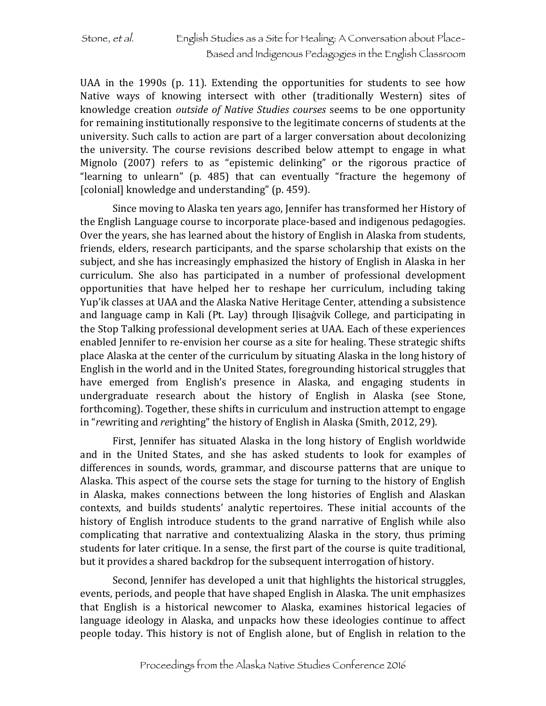UAA in the  $1990s$  (p. 11). Extending the opportunities for students to see how Native ways of knowing intersect with other (traditionally Western) sites of knowledge creation *outside of Native Studies courses* seems to be one opportunity for remaining institutionally responsive to the legitimate concerns of students at the university. Such calls to action are part of a larger conversation about decolonizing the university. The course revisions described below attempt to engage in what Mignolo  $(2007)$  refers to as "epistemic delinking" or the rigorous practice of "learning to unlearn" (p.  $485$ ) that can eventually "fracture the hegemony of [colonial] knowledge and understanding" (p. 459).

Since moving to Alaska ten years ago, Jennifer has transformed her History of the English Language course to incorporate place-based and indigenous pedagogies. Over the years, she has learned about the history of English in Alaska from students, friends, elders, research participants, and the sparse scholarship that exists on the subject, and she has increasingly emphasized the history of English in Alaska in her curriculum. She also has participated in a number of professional development opportunities that have helped her to reshape her curriculum, including taking Yup'ik classes at UAA and the Alaska Native Heritage Center, attending a subsistence and language camp in Kali (Pt. Lay) through Ilisagvik College, and participating in the Stop Talking professional development series at UAA. Each of these experiences enabled Jennifer to re-envision her course as a site for healing. These strategic shifts place Alaska at the center of the curriculum by situating Alaska in the long history of English in the world and in the United States, foregrounding historical struggles that have emerged from English's presence in Alaska, and engaging students in undergraduate research about the history of English in Alaska (see Stone, forthcoming). Together, these shifts in curriculum and instruction attempt to engage in "rewriting and rerighting" the history of English in Alaska (Smith, 2012, 29).

First, Jennifer has situated Alaska in the long history of English worldwide and in the United States, and she has asked students to look for examples of differences in sounds, words, grammar, and discourse patterns that are unique to Alaska. This aspect of the course sets the stage for turning to the history of English in Alaska, makes connections between the long histories of English and Alaskan contexts, and builds students' analytic repertoires. These initial accounts of the history of English introduce students to the grand narrative of English while also complicating that narrative and contextualizing Alaska in the story, thus priming students for later critique. In a sense, the first part of the course is quite traditional, but it provides a shared backdrop for the subsequent interrogation of history.

Second, Jennifer has developed a unit that highlights the historical struggles, events, periods, and people that have shaped English in Alaska. The unit emphasizes that English is a historical newcomer to Alaska, examines historical legacies of language ideology in Alaska, and unpacks how these ideologies continue to affect people today. This history is not of English alone, but of English in relation to the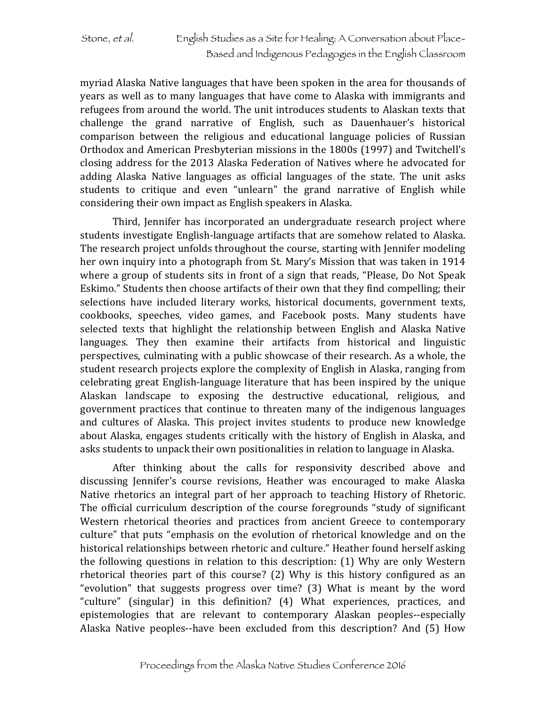myriad Alaska Native languages that have been spoken in the area for thousands of years as well as to many languages that have come to Alaska with immigrants and refugees from around the world. The unit introduces students to Alaskan texts that challenge the grand narrative of English, such as Dauenhauer's historical comparison between the religious and educational language policies of Russian Orthodox and American Presbyterian missions in the 1800s (1997) and Twitchell's closing address for the 2013 Alaska Federation of Natives where he advocated for adding Alaska Native languages as official languages of the state. The unit asks students to critique and even "unlearn" the grand narrative of English while considering their own impact as English speakers in Alaska.

Third, Jennifer has incorporated an undergraduate research project where students investigate English-language artifacts that are somehow related to Alaska. The research project unfolds throughout the course, starting with Jennifer modeling her own inquiry into a photograph from St. Mary's Mission that was taken in 1914 where a group of students sits in front of a sign that reads, "Please, Do Not Speak Eskimo." Students then choose artifacts of their own that they find compelling; their selections have included literary works, historical documents, government texts, cookbooks, speeches, video games, and Facebook posts. Many students have selected texts that highlight the relationship between English and Alaska Native languages. They then examine their artifacts from historical and linguistic perspectives, culminating with a public showcase of their research. As a whole, the student research projects explore the complexity of English in Alaska, ranging from celebrating great English-language literature that has been inspired by the unique Alaskan landscape to exposing the destructive educational, religious, and government practices that continue to threaten many of the indigenous languages and cultures of Alaska. This project invites students to produce new knowledge about Alaska, engages students critically with the history of English in Alaska, and asks students to unpack their own positionalities in relation to language in Alaska.

After thinking about the calls for responsivity described above and discussing Jennifer's course revisions, Heather was encouraged to make Alaska Native rhetorics an integral part of her approach to teaching History of Rhetoric. The official curriculum description of the course foregrounds "study of significant Western rhetorical theories and practices from ancient Greece to contemporary culture" that puts "emphasis on the evolution of rhetorical knowledge and on the historical relationships between rhetoric and culture." Heather found herself asking the following questions in relation to this description:  $(1)$  Why are only Western rhetorical theories part of this course?  $(2)$  Why is this history configured as an "evolution" that suggests progress over time?  $(3)$  What is meant by the word "culture" (singular) in this definition? (4) What experiences, practices, and epistemologies that are relevant to contemporary Alaskan peoples--especially Alaska Native peoples--have been excluded from this description? And (5) How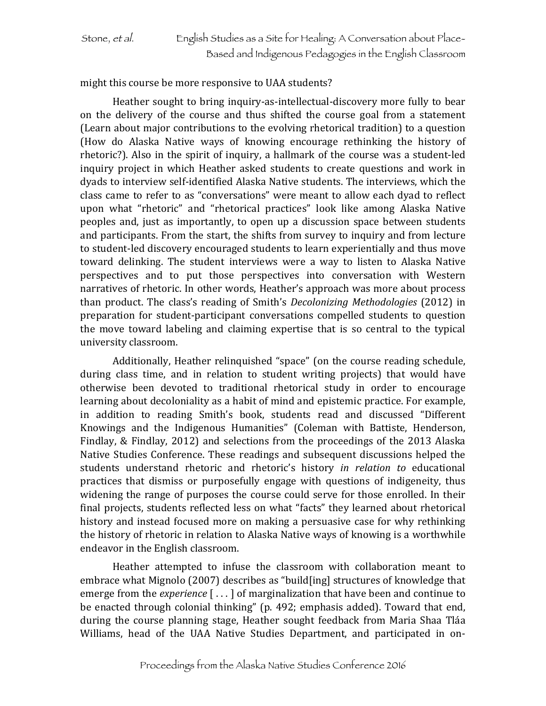might this course be more responsive to UAA students?

Heather sought to bring inquiry-as-intellectual-discovery more fully to bear on the delivery of the course and thus shifted the course goal from a statement (Learn about major contributions to the evolving rhetorical tradition) to a question (How do Alaska Native ways of knowing encourage rethinking the history of rhetoric?). Also in the spirit of inquiry, a hallmark of the course was a student-led inquiry project in which Heather asked students to create questions and work in dyads to interview self-identified Alaska Native students. The interviews, which the class came to refer to as "conversations" were meant to allow each dyad to reflect upon what "rhetoric" and "rhetorical practices" look like among Alaska Native peoples and, just as importantly, to open up a discussion space between students and participants. From the start, the shifts from survey to inquiry and from lecture to student-led discovery encouraged students to learn experientially and thus move toward delinking. The student interviews were a way to listen to Alaska Native perspectives and to put those perspectives into conversation with Western narratives of rhetoric. In other words, Heather's approach was more about process than product. The class's reading of Smith's *Decolonizing Methodologies* (2012) in preparation for student-participant conversations compelled students to question the move toward labeling and claiming expertise that is so central to the typical university classroom.

Additionally, Heather relinquished "space" (on the course reading schedule, during class time, and in relation to student writing projects) that would have otherwise been devoted to traditional rhetorical study in order to encourage learning about decoloniality as a habit of mind and epistemic practice. For example, in addition to reading Smith's book, students read and discussed "Different Knowings and the Indigenous Humanities" (Coleman with Battiste, Henderson, Findlay, & Findlay, 2012) and selections from the proceedings of the 2013 Alaska Native Studies Conference. These readings and subsequent discussions helped the students understand rhetoric and rhetoric's history *in relation to* educational practices that dismiss or purposefully engage with questions of indigeneity, thus widening the range of purposes the course could serve for those enrolled. In their final projects, students reflected less on what "facts" they learned about rhetorical history and instead focused more on making a persuasive case for why rethinking the history of rhetoric in relation to Alaska Native ways of knowing is a worthwhile endeavor in the English classroom.

Heather attempted to infuse the classroom with collaboration meant to embrace what Mignolo (2007) describes as "build[ing] structures of knowledge that emerge from the *experience* [...] of marginalization that have been and continue to be enacted through colonial thinking" (p. 492; emphasis added). Toward that end, during the course planning stage, Heather sought feedback from Maria Shaa Tláa Williams, head of the UAA Native Studies Department, and participated in on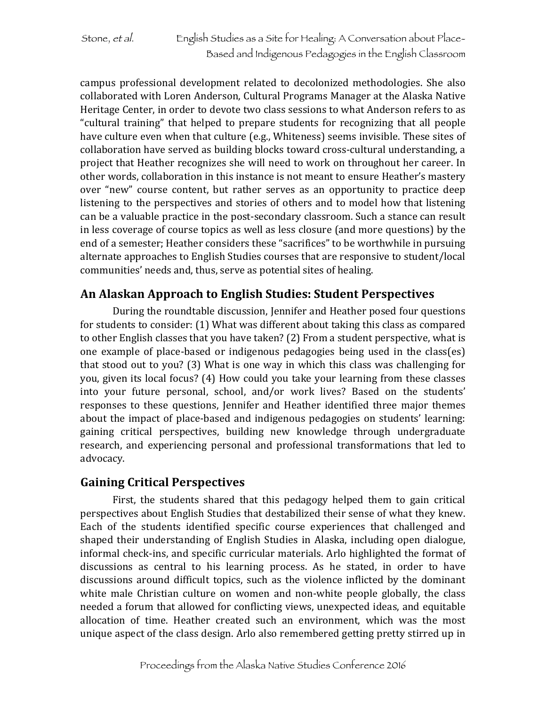campus professional development related to decolonized methodologies. She also collaborated with Loren Anderson, Cultural Programs Manager at the Alaska Native Heritage Center, in order to devote two class sessions to what Anderson refers to as "cultural training" that helped to prepare students for recognizing that all people have culture even when that culture (e.g., Whiteness) seems invisible. These sites of collaboration have served as building blocks toward cross-cultural understanding, a project that Heather recognizes she will need to work on throughout her career. In other words, collaboration in this instance is not meant to ensure Heather's mastery over "new" course content, but rather serves as an opportunity to practice deep listening to the perspectives and stories of others and to model how that listening can be a valuable practice in the post-secondary classroom. Such a stance can result in less coverage of course topics as well as less closure (and more questions) by the end of a semester; Heather considers these "sacrifices" to be worthwhile in pursuing alternate approaches to English Studies courses that are responsive to student/local communities' needs and, thus, serve as potential sites of healing.

### **An Alaskan Approach to English Studies: Student Perspectives**

During the roundtable discussion, Jennifer and Heather posed four questions for students to consider: (1) What was different about taking this class as compared to other English classes that you have taken? (2) From a student perspective, what is one example of place-based or indigenous pedagogies being used in the class(es) that stood out to you? (3) What is one way in which this class was challenging for you, given its local focus? (4) How could you take your learning from these classes into your future personal, school, and/or work lives? Based on the students' responses to these questions, Jennifer and Heather identified three major themes about the impact of place-based and indigenous pedagogies on students' learning: gaining critical perspectives, building new knowledge through undergraduate research, and experiencing personal and professional transformations that led to advocacy.

### **Gaining Critical Perspectives**

First, the students shared that this pedagogy helped them to gain critical perspectives about English Studies that destabilized their sense of what they knew. Each of the students identified specific course experiences that challenged and shaped their understanding of English Studies in Alaska, including open dialogue, informal check-ins, and specific curricular materials. Arlo highlighted the format of discussions as central to his learning process. As he stated, in order to have discussions around difficult topics, such as the violence inflicted by the dominant white male Christian culture on women and non-white people globally, the class needed a forum that allowed for conflicting views, unexpected ideas, and equitable allocation of time. Heather created such an environment, which was the most unique aspect of the class design. Arlo also remembered getting pretty stirred up in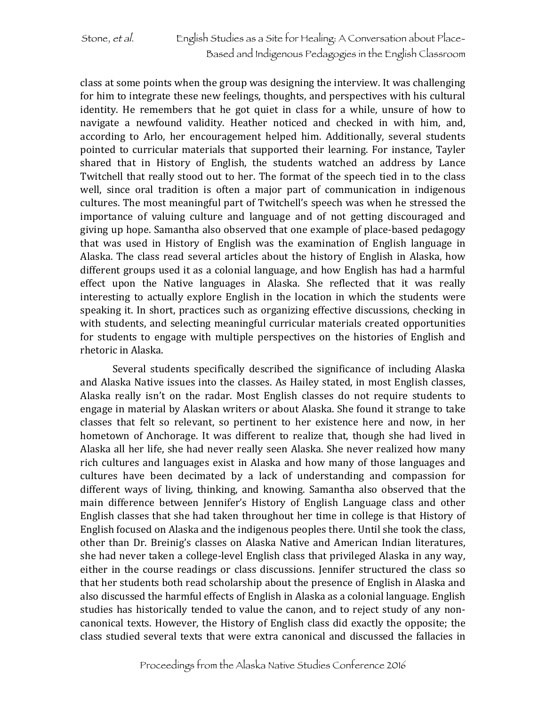class at some points when the group was designing the interview. It was challenging for him to integrate these new feelings, thoughts, and perspectives with his cultural identity. He remembers that he got quiet in class for a while, unsure of how to navigate a newfound validity. Heather noticed and checked in with him, and, according to Arlo, her encouragement helped him. Additionally, several students pointed to curricular materials that supported their learning. For instance, Tayler shared that in History of English, the students watched an address by Lance Twitchell that really stood out to her. The format of the speech tied in to the class well, since oral tradition is often a major part of communication in indigenous cultures. The most meaningful part of Twitchell's speech was when he stressed the importance of valuing culture and language and of not getting discouraged and giving up hope. Samantha also observed that one example of place-based pedagogy that was used in History of English was the examination of English language in Alaska. The class read several articles about the history of English in Alaska, how different groups used it as a colonial language, and how English has had a harmful effect upon the Native languages in Alaska. She reflected that it was really interesting to actually explore English in the location in which the students were speaking it. In short, practices such as organizing effective discussions, checking in with students, and selecting meaningful curricular materials created opportunities for students to engage with multiple perspectives on the histories of English and rhetoric in Alaska.

Several students specifically described the significance of including Alaska and Alaska Native issues into the classes. As Hailey stated, in most English classes, Alaska really isn't on the radar. Most English classes do not require students to engage in material by Alaskan writers or about Alaska. She found it strange to take classes that felt so relevant, so pertinent to her existence here and now, in her hometown of Anchorage. It was different to realize that, though she had lived in Alaska all her life, she had never really seen Alaska. She never realized how many rich cultures and languages exist in Alaska and how many of those languages and cultures have been decimated by a lack of understanding and compassion for different ways of living, thinking, and knowing. Samantha also observed that the main difference between Jennifer's History of English Language class and other English classes that she had taken throughout her time in college is that History of English focused on Alaska and the indigenous peoples there. Until she took the class, other than Dr. Breinig's classes on Alaska Native and American Indian literatures, she had never taken a college-level English class that privileged Alaska in any way, either in the course readings or class discussions. Jennifer structured the class so that her students both read scholarship about the presence of English in Alaska and also discussed the harmful effects of English in Alaska as a colonial language. English studies has historically tended to value the canon, and to reject study of any noncanonical texts. However, the History of English class did exactly the opposite; the class studied several texts that were extra canonical and discussed the fallacies in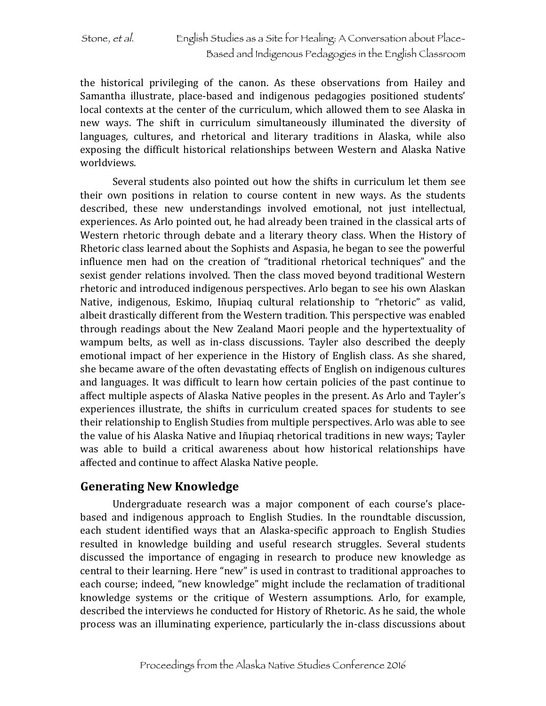the historical privileging of the canon. As these observations from Hailey and Samantha illustrate, place-based and indigenous pedagogies positioned students' local contexts at the center of the curriculum, which allowed them to see Alaska in new ways. The shift in curriculum simultaneously illuminated the diversity of languages, cultures, and rhetorical and literary traditions in Alaska, while also exposing the difficult historical relationships between Western and Alaska Native worldviews.

Several students also pointed out how the shifts in curriculum let them see their own positions in relation to course content in new ways. As the students described, these new understandings involved emotional, not just intellectual, experiences. As Arlo pointed out, he had already been trained in the classical arts of Western rhetoric through debate and a literary theory class. When the History of Rhetoric class learned about the Sophists and Aspasia, he began to see the powerful influence men had on the creation of "traditional rhetorical techniques" and the sexist gender relations involved. Then the class moved beyond traditional Western rhetoric and introduced indigenous perspectives. Arlo began to see his own Alaskan Native, indigenous, Eskimo, Iñupiaq cultural relationship to "rhetoric" as valid, albeit drastically different from the Western tradition. This perspective was enabled through readings about the New Zealand Maori people and the hypertextuality of wampum belts, as well as in-class discussions. Tayler also described the deeply emotional impact of her experience in the History of English class. As she shared, she became aware of the often devastating effects of English on indigenous cultures and languages. It was difficult to learn how certain policies of the past continue to affect multiple aspects of Alaska Native peoples in the present. As Arlo and Tayler's experiences illustrate, the shifts in curriculum created spaces for students to see their relationship to English Studies from multiple perspectives. Arlo was able to see the value of his Alaska Native and Iñupiaq rhetorical traditions in new ways; Tayler was able to build a critical awareness about how historical relationships have affected and continue to affect Alaska Native people.

### **Generating New Knowledge**

Undergraduate research was a major component of each course's placebased and indigenous approach to English Studies. In the roundtable discussion, each student identified ways that an Alaska-specific approach to English Studies resulted in knowledge building and useful research struggles. Several students discussed the importance of engaging in research to produce new knowledge as central to their learning. Here "new" is used in contrast to traditional approaches to each course; indeed, "new knowledge" might include the reclamation of traditional knowledge systems or the critique of Western assumptions. Arlo, for example, described the interviews he conducted for History of Rhetoric. As he said, the whole process was an illuminating experience, particularly the in-class discussions about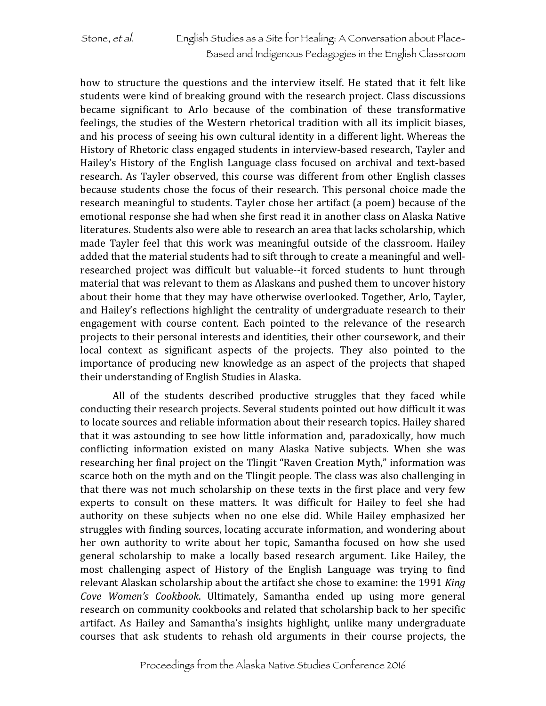how to structure the questions and the interview itself. He stated that it felt like students were kind of breaking ground with the research project. Class discussions became significant to Arlo because of the combination of these transformative feelings, the studies of the Western rhetorical tradition with all its implicit biases, and his process of seeing his own cultural identity in a different light. Whereas the History of Rhetoric class engaged students in interview-based research, Tayler and Hailey's History of the English Language class focused on archival and text-based research. As Tayler observed, this course was different from other English classes because students chose the focus of their research. This personal choice made the research meaningful to students. Tayler chose her artifact (a poem) because of the emotional response she had when she first read it in another class on Alaska Native literatures. Students also were able to research an area that lacks scholarship, which made Tayler feel that this work was meaningful outside of the classroom. Hailey added that the material students had to sift through to create a meaningful and wellresearched project was difficult but valuable--it forced students to hunt through material that was relevant to them as Alaskans and pushed them to uncover history about their home that they may have otherwise overlooked. Together, Arlo, Tayler, and Hailey's reflections highlight the centrality of undergraduate research to their engagement with course content. Each pointed to the relevance of the research projects to their personal interests and identities, their other coursework, and their local context as significant aspects of the projects. They also pointed to the importance of producing new knowledge as an aspect of the projects that shaped their understanding of English Studies in Alaska.

All of the students described productive struggles that they faced while conducting their research projects. Several students pointed out how difficult it was to locate sources and reliable information about their research topics. Hailey shared that it was astounding to see how little information and, paradoxically, how much conflicting information existed on many Alaska Native subjects. When she was researching her final project on the Tlingit "Raven Creation Myth," information was scarce both on the myth and on the Tlingit people. The class was also challenging in that there was not much scholarship on these texts in the first place and very few experts to consult on these matters. It was difficult for Hailey to feel she had authority on these subjects when no one else did. While Hailey emphasized her struggles with finding sources, locating accurate information, and wondering about her own authority to write about her topic, Samantha focused on how she used general scholarship to make a locally based research argument. Like Hailey, the most challenging aspect of History of the English Language was trying to find relevant Alaskan scholarship about the artifact she chose to examine: the 1991 *King Cove Women's Cookbook*. Ultimately, Samantha ended up using more general research on community cookbooks and related that scholarship back to her specific artifact. As Hailey and Samantha's insights highlight, unlike many undergraduate courses that ask students to rehash old arguments in their course projects, the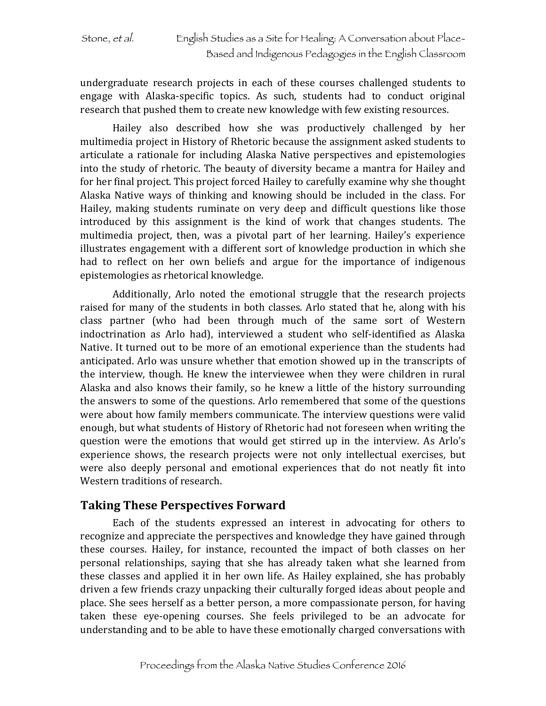undergraduate research projects in each of these courses challenged students to engage with Alaska-specific topics. As such, students had to conduct original research that pushed them to create new knowledge with few existing resources.

Hailey also described how she was productively challenged by her multimedia project in History of Rhetoric because the assignment asked students to articulate a rationale for including Alaska Native perspectives and epistemologies into the study of rhetoric. The beauty of diversity became a mantra for Hailey and for her final project. This project forced Hailey to carefully examine why she thought Alaska Native ways of thinking and knowing should be included in the class. For Hailey, making students ruminate on very deep and difficult questions like those introduced by this assignment is the kind of work that changes students. The multimedia project, then, was a pivotal part of her learning. Hailey's experience illustrates engagement with a different sort of knowledge production in which she had to reflect on her own beliefs and argue for the importance of indigenous epistemologies as rhetorical knowledge.

Additionally, Arlo noted the emotional struggle that the research projects raised for many of the students in both classes. Arlo stated that he, along with his class partner (who had been through much of the same sort of Western indoctrination as Arlo had), interviewed a student who self-identified as Alaska Native. It turned out to be more of an emotional experience than the students had anticipated. Arlo was unsure whether that emotion showed up in the transcripts of the interview, though. He knew the interviewee when they were children in rural Alaska and also knows their family, so he knew a little of the history surrounding the answers to some of the questions. Arlo remembered that some of the questions were about how family members communicate. The interview questions were valid enough, but what students of History of Rhetoric had not foreseen when writing the question were the emotions that would get stirred up in the interview. As Arlo's experience shows, the research projects were not only intellectual exercises, but were also deeply personal and emotional experiences that do not neatly fit into Western traditions of research.

### **Taking These Perspectives Forward**

Each of the students expressed an interest in advocating for others to recognize and appreciate the perspectives and knowledge they have gained through these courses. Hailey, for instance, recounted the impact of both classes on her personal relationships, saying that she has already taken what she learned from these classes and applied it in her own life. As Hailey explained, she has probably driven a few friends crazy unpacking their culturally forged ideas about people and place. She sees herself as a better person, a more compassionate person, for having taken these eye-opening courses. She feels privileged to be an advocate for understanding and to be able to have these emotionally charged conversations with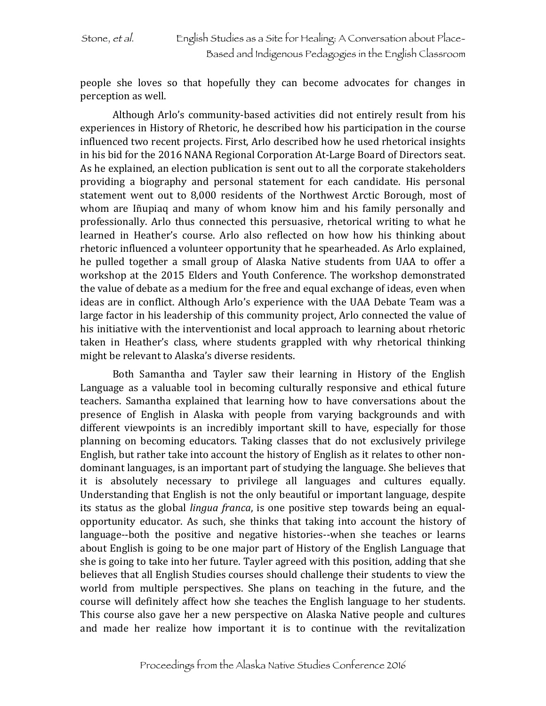people she loves so that hopefully they can become advocates for changes in perception as well.

Although Arlo's community-based activities did not entirely result from his experiences in History of Rhetoric, he described how his participation in the course influenced two recent projects. First, Arlo described how he used rhetorical insights in his bid for the 2016 NANA Regional Corporation At-Large Board of Directors seat. As he explained, an election publication is sent out to all the corporate stakeholders providing a biography and personal statement for each candidate. His personal statement went out to 8,000 residents of the Northwest Arctic Borough, most of whom are Iñupiaq and many of whom know him and his family personally and professionally. Arlo thus connected this persuasive, rhetorical writing to what he learned in Heather's course. Arlo also reflected on how how his thinking about rhetoric influenced a volunteer opportunity that he spearheaded. As Arlo explained, he pulled together a small group of Alaska Native students from UAA to offer a workshop at the 2015 Elders and Youth Conference. The workshop demonstrated the value of debate as a medium for the free and equal exchange of ideas, even when ideas are in conflict. Although Arlo's experience with the UAA Debate Team was a large factor in his leadership of this community project, Arlo connected the value of his initiative with the interventionist and local approach to learning about rhetoric taken in Heather's class, where students grappled with why rhetorical thinking might be relevant to Alaska's diverse residents.

Both Samantha and Tayler saw their learning in History of the English Language as a valuable tool in becoming culturally responsive and ethical future teachers. Samantha explained that learning how to have conversations about the presence of English in Alaska with people from varying backgrounds and with different viewpoints is an incredibly important skill to have, especially for those planning on becoming educators. Taking classes that do not exclusively privilege English, but rather take into account the history of English as it relates to other nondominant languages, is an important part of studying the language. She believes that it is absolutely necessary to privilege all languages and cultures equally. Understanding that English is not the only beautiful or important language, despite its status as the global *lingua franca*, is one positive step towards being an equalopportunity educator. As such, she thinks that taking into account the history of language--both the positive and negative histories--when she teaches or learns about English is going to be one major part of History of the English Language that she is going to take into her future. Tayler agreed with this position, adding that she believes that all English Studies courses should challenge their students to view the world from multiple perspectives. She plans on teaching in the future, and the course will definitely affect how she teaches the English language to her students. This course also gave her a new perspective on Alaska Native people and cultures and made her realize how important it is to continue with the revitalization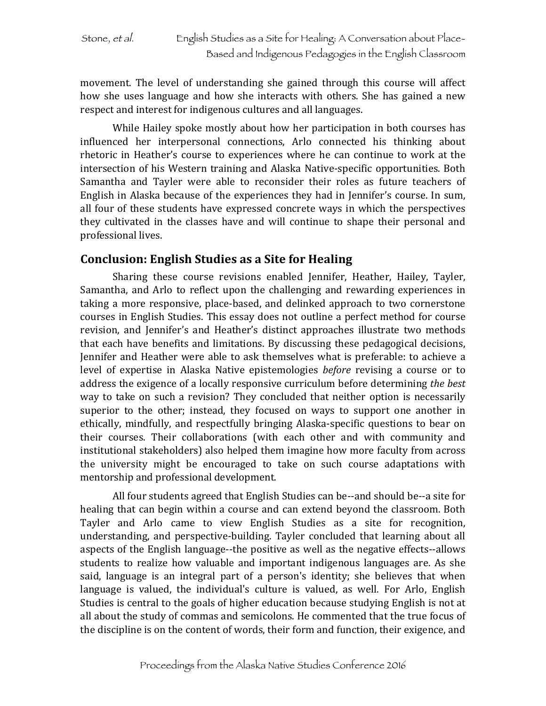movement. The level of understanding she gained through this course will affect how she uses language and how she interacts with others. She has gained a new respect and interest for indigenous cultures and all languages.

While Hailey spoke mostly about how her participation in both courses has influenced her interpersonal connections, Arlo connected his thinking about rhetoric in Heather's course to experiences where he can continue to work at the intersection of his Western training and Alaska Native-specific opportunities. Both Samantha and Tayler were able to reconsider their roles as future teachers of English in Alaska because of the experiences they had in Jennifer's course. In sum, all four of these students have expressed concrete ways in which the perspectives they cultivated in the classes have and will continue to shape their personal and professional lives.

### **Conclusion: English Studies as a Site for Healing**

Sharing these course revisions enabled Jennifer, Heather, Hailey, Tayler, Samantha, and Arlo to reflect upon the challenging and rewarding experiences in taking a more responsive, place-based, and delinked approach to two cornerstone courses in English Studies. This essay does not outline a perfect method for course revision, and Jennifer's and Heather's distinct approaches illustrate two methods that each have benefits and limitations. By discussing these pedagogical decisions, Jennifer and Heather were able to ask themselves what is preferable: to achieve a level of expertise in Alaska Native epistemologies *before* revising a course or to address the exigence of a locally responsive curriculum before determining *the best* way to take on such a revision? They concluded that neither option is necessarily superior to the other; instead, they focused on ways to support one another in ethically, mindfully, and respectfully bringing Alaska-specific questions to bear on their courses. Their collaborations (with each other and with community and institutional stakeholders) also helped them imagine how more faculty from across the university might be encouraged to take on such course adaptations with mentorship and professional development.

All four students agreed that English Studies can be--and should be--a site for healing that can begin within a course and can extend beyond the classroom. Both Tayler and Arlo came to view English Studies as a site for recognition, understanding, and perspective-building. Tayler concluded that learning about all aspects of the English language--the positive as well as the negative effects--allows students to realize how valuable and important indigenous languages are. As she said, language is an integral part of a person's identity; she believes that when language is valued, the individual's culture is valued, as well. For Arlo, English Studies is central to the goals of higher education because studying English is not at all about the study of commas and semicolons. He commented that the true focus of the discipline is on the content of words, their form and function, their exigence, and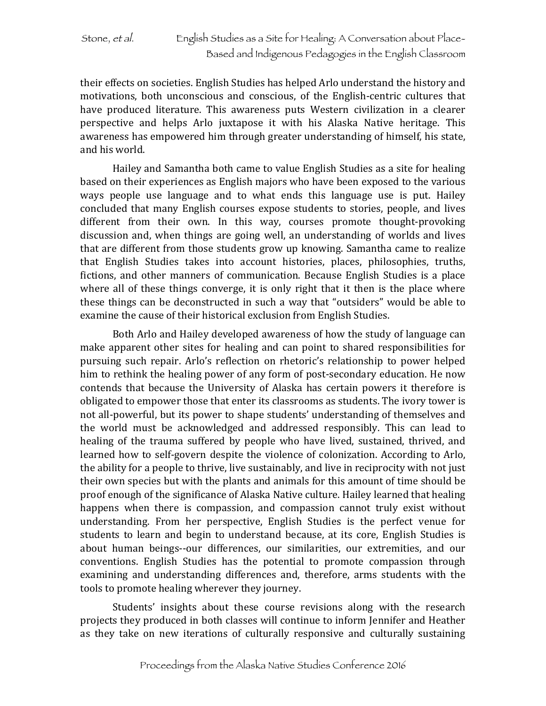their effects on societies. English Studies has helped Arlo understand the history and motivations, both unconscious and conscious, of the English-centric cultures that have produced literature. This awareness puts Western civilization in a clearer perspective and helps Arlo juxtapose it with his Alaska Native heritage. This awareness has empowered him through greater understanding of himself, his state, and his world.

Hailey and Samantha both came to value English Studies as a site for healing based on their experiences as English majors who have been exposed to the various ways people use language and to what ends this language use is put. Hailey concluded that many English courses expose students to stories, people, and lives different from their own. In this way, courses promote thought-provoking discussion and, when things are going well, an understanding of worlds and lives that are different from those students grow up knowing. Samantha came to realize that English Studies takes into account histories, places, philosophies, truths, fictions, and other manners of communication. Because English Studies is a place where all of these things converge, it is only right that it then is the place where these things can be deconstructed in such a way that "outsiders" would be able to examine the cause of their historical exclusion from English Studies.

Both Arlo and Hailey developed awareness of how the study of language can make apparent other sites for healing and can point to shared responsibilities for pursuing such repair. Arlo's reflection on rhetoric's relationship to power helped him to rethink the healing power of any form of post-secondary education. He now contends that because the University of Alaska has certain powers it therefore is obligated to empower those that enter its classrooms as students. The ivory tower is not all-powerful, but its power to shape students' understanding of themselves and the world must be acknowledged and addressed responsibly. This can lead to healing of the trauma suffered by people who have lived, sustained, thrived, and learned how to self-govern despite the violence of colonization. According to Arlo, the ability for a people to thrive, live sustainably, and live in reciprocity with not just their own species but with the plants and animals for this amount of time should be proof enough of the significance of Alaska Native culture. Hailey learned that healing happens when there is compassion, and compassion cannot truly exist without understanding. From her perspective, English Studies is the perfect venue for students to learn and begin to understand because, at its core, English Studies is about human beings--our differences, our similarities, our extremities, and our conventions. English Studies has the potential to promote compassion through examining and understanding differences and, therefore, arms students with the tools to promote healing wherever they journey.

Students' insights about these course revisions along with the research projects they produced in both classes will continue to inform Jennifer and Heather as they take on new iterations of culturally responsive and culturally sustaining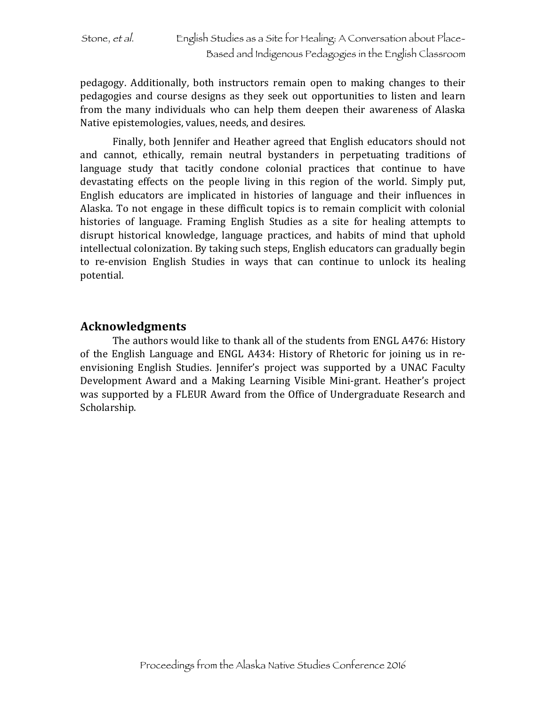pedagogy. Additionally, both instructors remain open to making changes to their pedagogies and course designs as they seek out opportunities to listen and learn from the many individuals who can help them deepen their awareness of Alaska Native epistemologies, values, needs, and desires.

Finally, both Jennifer and Heather agreed that English educators should not and cannot, ethically, remain neutral bystanders in perpetuating traditions of language study that tacitly condone colonial practices that continue to have devastating effects on the people living in this region of the world. Simply put, English educators are implicated in histories of language and their influences in Alaska. To not engage in these difficult topics is to remain complicit with colonial histories of language. Framing English Studies as a site for healing attempts to disrupt historical knowledge, language practices, and habits of mind that uphold intellectual colonization. By taking such steps, English educators can gradually begin to re-envision English Studies in ways that can continue to unlock its healing potential.

### **Acknowledgments**

The authors would like to thank all of the students from ENGL A476: History of the English Language and ENGL A434: History of Rhetoric for joining us in reenvisioning English Studies. Jennifer's project was supported by a UNAC Faculty Development Award and a Making Learning Visible Mini-grant. Heather's project was supported by a FLEUR Award from the Office of Undergraduate Research and Scholarship.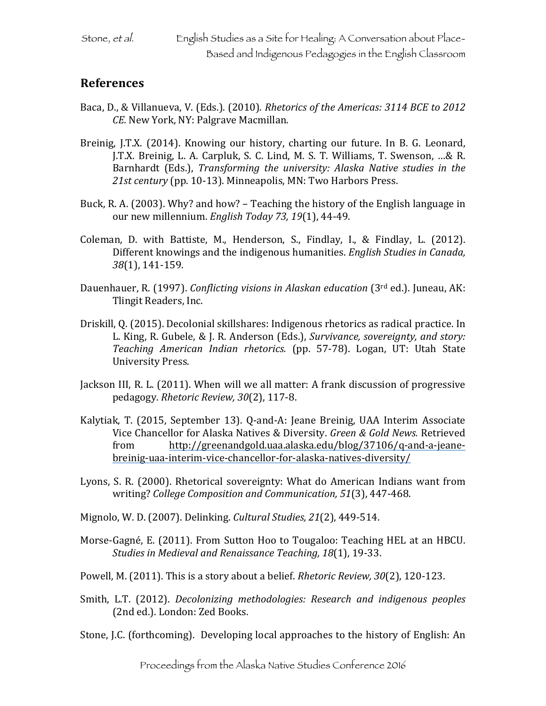### **References**

- Baca, D., & Villanueva, V. (Eds.). (2010). *Rhetorics of the Americas: 3114 BCE to 2012 CE.* New York, NY: Palgrave Macmillan.
- Breinig, J.T.X. (2014). Knowing our history, charting our future. In B. G. Leonard, J.T.X. Breinig, L. A. Carpluk, S. C. Lind, M. S. T. Williams, T. Swenson, ...& R. Barnhardt (Eds.), *Transforming the university: Alaska Native studies in the* 21st century (pp. 10-13). Minneapolis, MN: Two Harbors Press.
- Buck, R. A. (2003). Why? and how? Teaching the history of the English language in our new millennium. *English Today 73, 19*(1), 44-49.
- Coleman, D. with Battiste, M., Henderson, S., Findlay, I., & Findlay, L. (2012). Different knowings and the indigenous humanities. *English Studies in Canada*, *38*(1), 141-159.
- Dauenhauer, R. (1997). *Conflicting visions in Alaskan education* (3<sup>rd</sup> ed.). Juneau, AK: Tlingit Readers, Inc.
- Driskill, Q. (2015). Decolonial skillshares: Indigenous rhetorics as radical practice. In L. King, R. Gubele, & J. R. Anderson (Eds.), *Survivance, sovereignty, and story: Teaching American Indian rhetorics.* (pp. 57-78). Logan, UT: Utah State University Press.
- Jackson III, R. L. (2011). When will we all matter: A frank discussion of progressive pedagogy. *Rhetoric Review, 30*(2), 117-8.
- Kalytiak, T. (2015, September 13). Q-and-A: Jeane Breinig, UAA Interim Associate Vice Chancellor for Alaska Natives & Diversity. *Green & Gold News.* Retrieved from http://greenandgold.uaa.alaska.edu/blog/37106/q-and-a-jeanebreinig-uaa-interim-vice-chancellor-for-alaska-natives-diversity/
- Lyons, S. R. (2000). Rhetorical sovereignty: What do American Indians want from writing? *College Composition and Communication,* 51(3), 447-468.
- Mignolo, W. D. (2007). Delinking. *Cultural Studies, 21*(2), 449-514.
- Morse-Gagné, E. (2011). From Sutton Hoo to Tougaloo: Teaching HEL at an HBCU. *Studies in Medieval and Renaissance Teaching, 18*(1), 19-33.
- Powell, M. (2011). This is a story about a belief. *Rhetoric Review, 30*(2), 120-123.
- Smith, L.T. (2012). *Decolonizing methodologies: Research and indigenous peoples* (2nd ed.). London: Zed Books.
- Stone, J.C. (forthcoming). Developing local approaches to the history of English: An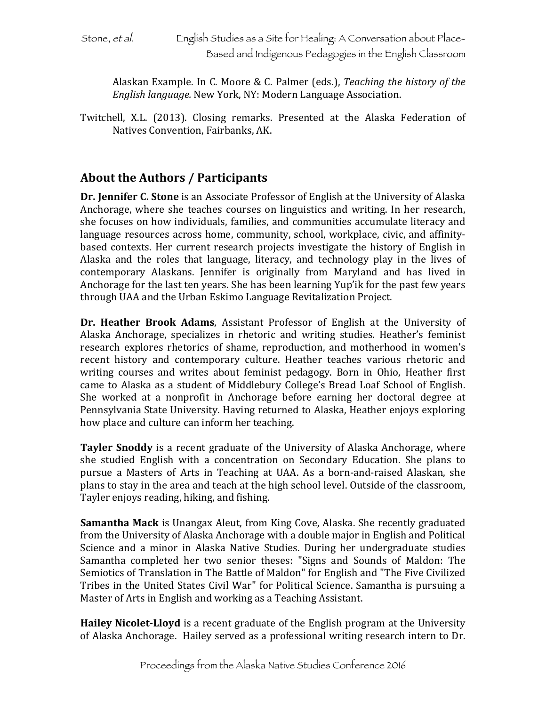Alaskan Example. In C. Moore & C. Palmer (eds.), *Teaching the history of the English language.* New York, NY: Modern Language Association.

Twitchell, X.L. (2013). Closing remarks. Presented at the Alaska Federation of Natives Convention, Fairbanks, AK.

## **About the Authors / Participants**

**Dr. Jennifer C. Stone** is an Associate Professor of English at the University of Alaska Anchorage, where she teaches courses on linguistics and writing. In her research, she focuses on how individuals, families, and communities accumulate literacy and language resources across home, community, school, workplace, civic, and affinitybased contexts. Her current research projects investigate the history of English in Alaska and the roles that language, literacy, and technology play in the lives of contemporary Alaskans. Jennifer is originally from Maryland and has lived in Anchorage for the last ten years. She has been learning Yup'ik for the past few years through UAA and the Urban Eskimo Language Revitalization Project.

**Dr. Heather Brook Adams**, Assistant Professor of English at the University of Alaska Anchorage, specializes in rhetoric and writing studies. Heather's feminist research explores rhetorics of shame, reproduction, and motherhood in women's recent history and contemporary culture. Heather teaches various rhetoric and writing courses and writes about feminist pedagogy. Born in Ohio, Heather first came to Alaska as a student of Middlebury College's Bread Loaf School of English. She worked at a nonprofit in Anchorage before earning her doctoral degree at Pennsylvania State University. Having returned to Alaska, Heather enjoys exploring how place and culture can inform her teaching.

**Tayler Snoddy** is a recent graduate of the University of Alaska Anchorage, where she studied English with a concentration on Secondary Education. She plans to pursue a Masters of Arts in Teaching at UAA. As a born-and-raised Alaskan, she plans to stay in the area and teach at the high school level. Outside of the classroom, Tayler enjoys reading, hiking, and fishing.

**Samantha Mack** is Unangax Aleut, from King Cove, Alaska. She recently graduated from the University of Alaska Anchorage with a double major in English and Political Science and a minor in Alaska Native Studies. During her undergraduate studies Samantha completed her two senior theses: "Signs and Sounds of Maldon: The Semiotics of Translation in The Battle of Maldon" for English and "The Five Civilized Tribes in the United States Civil War" for Political Science. Samantha is pursuing a Master of Arts in English and working as a Teaching Assistant.

**Hailey Nicolet-Lloyd** is a recent graduate of the English program at the University of Alaska Anchorage. Hailey served as a professional writing research intern to Dr.